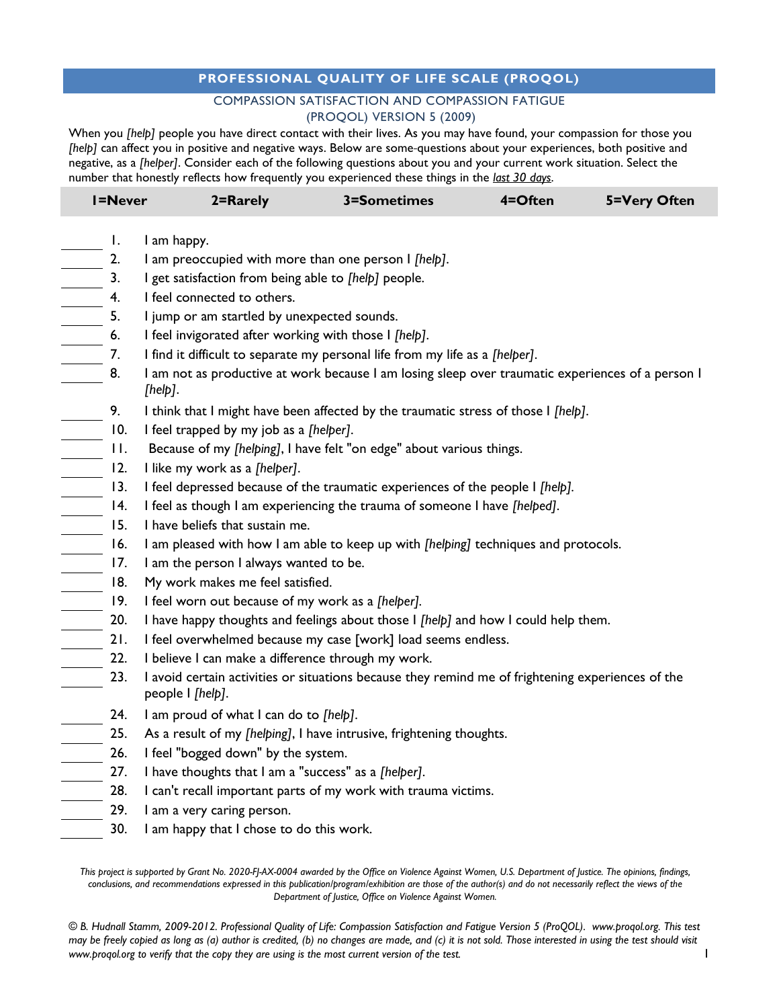## **PROFESSIONAL QUALITY OF LIFE SCALE (PROQOL)**

## COMPASSION SATISFACTION AND COMPASSION FATIGUE (PROQOL) VERSION 5 (2009)

When you *[help]* people you have direct contact with their lives. As you may have found, your compassion for those you [help] can affect you in positive and negative ways. Below are some-questions about your experiences, both positive and negative, as a *[helper]*. Consider each of the following questions about you and your current work situation. Select the number that honestly reflects how frequently you experienced these things in the *last 30 days*.

| <b>I=Never</b>                                                                                                                                                                                                                                                                                                                                                                                                                                                                    | 2=Rarely                                                                                                              | 3=Sometimes | 4=Often | 5=Very Often |  |  |  |  |
|-----------------------------------------------------------------------------------------------------------------------------------------------------------------------------------------------------------------------------------------------------------------------------------------------------------------------------------------------------------------------------------------------------------------------------------------------------------------------------------|-----------------------------------------------------------------------------------------------------------------------|-------------|---------|--------------|--|--|--|--|
| Ι.                                                                                                                                                                                                                                                                                                                                                                                                                                                                                | I am happy.                                                                                                           |             |         |              |  |  |  |  |
|                                                                                                                                                                                                                                                                                                                                                                                                                                                                                   | I am preoccupied with more than one person I [help].                                                                  |             |         |              |  |  |  |  |
|                                                                                                                                                                                                                                                                                                                                                                                                                                                                                   | I get satisfaction from being able to [help] people.                                                                  |             |         |              |  |  |  |  |
|                                                                                                                                                                                                                                                                                                                                                                                                                                                                                   | I feel connected to others.                                                                                           |             |         |              |  |  |  |  |
|                                                                                                                                                                                                                                                                                                                                                                                                                                                                                   | I jump or am startled by unexpected sounds.                                                                           |             |         |              |  |  |  |  |
|                                                                                                                                                                                                                                                                                                                                                                                                                                                                                   | I feel invigorated after working with those I [help].                                                                 |             |         |              |  |  |  |  |
|                                                                                                                                                                                                                                                                                                                                                                                                                                                                                   | I find it difficult to separate my personal life from my life as a [helper].                                          |             |         |              |  |  |  |  |
|                                                                                                                                                                                                                                                                                                                                                                                                                                                                                   | I am not as productive at work because I am losing sleep over traumatic experiences of a person I<br>[help].          |             |         |              |  |  |  |  |
| 9.                                                                                                                                                                                                                                                                                                                                                                                                                                                                                | I think that I might have been affected by the traumatic stress of those I [help].                                    |             |         |              |  |  |  |  |
| $\begin{array}{c} \begin{array}{c} \begin{array}{c} \begin{array}{c} \end{array} \\ \begin{array}{c} \end{array} \end{array} \end{array} \end{array}$<br>10.                                                                                                                                                                                                                                                                                                                      | I feel trapped by my job as a [helper].                                                                               |             |         |              |  |  |  |  |
| $\begin{array}{r} \begin{array}{r} \hline \text{II.} \\ \hline \text{II.} \\ \text{II.} \\ \hline \text{II.} \\ \text{II.} \\ \hline \text{II.} \\ \text{II.} \\ \hline \text{II.} \\ \hline \text{II.} \\ \text{II.} \\ \hline \text{II.} \\ \hline \text{II.} \\ \hline \text{II.} \\ \hline \text{II.} \\ \hline \text{II.} \\ \hline \text{II.} \\ \hline \text{II.} \\ \hline \text{II.} \\ \hline \text{II.} \\ \hline \text{II.} \\ \hline \text{II.} \\ \hline \text{II.$ | Because of my [helping], I have felt "on edge" about various things.                                                  |             |         |              |  |  |  |  |
|                                                                                                                                                                                                                                                                                                                                                                                                                                                                                   | I like my work as a [helper].                                                                                         |             |         |              |  |  |  |  |
|                                                                                                                                                                                                                                                                                                                                                                                                                                                                                   | I feel depressed because of the traumatic experiences of the people I [help].                                         |             |         |              |  |  |  |  |
|                                                                                                                                                                                                                                                                                                                                                                                                                                                                                   | I feel as though I am experiencing the trauma of someone I have [helped].                                             |             |         |              |  |  |  |  |
|                                                                                                                                                                                                                                                                                                                                                                                                                                                                                   | I have beliefs that sustain me.                                                                                       |             |         |              |  |  |  |  |
|                                                                                                                                                                                                                                                                                                                                                                                                                                                                                   | I am pleased with how I am able to keep up with [helping] techniques and protocols.                                   |             |         |              |  |  |  |  |
|                                                                                                                                                                                                                                                                                                                                                                                                                                                                                   | I am the person I always wanted to be.                                                                                |             |         |              |  |  |  |  |
|                                                                                                                                                                                                                                                                                                                                                                                                                                                                                   | My work makes me feel satisfied.                                                                                      |             |         |              |  |  |  |  |
|                                                                                                                                                                                                                                                                                                                                                                                                                                                                                   | I feel worn out because of my work as a [helper].                                                                     |             |         |              |  |  |  |  |
|                                                                                                                                                                                                                                                                                                                                                                                                                                                                                   | I have happy thoughts and feelings about those I [help] and how I could help them.                                    |             |         |              |  |  |  |  |
|                                                                                                                                                                                                                                                                                                                                                                                                                                                                                   | I feel overwhelmed because my case [work] load seems endless.                                                         |             |         |              |  |  |  |  |
|                                                                                                                                                                                                                                                                                                                                                                                                                                                                                   | I believe I can make a difference through my work.                                                                    |             |         |              |  |  |  |  |
| 23.                                                                                                                                                                                                                                                                                                                                                                                                                                                                               | I avoid certain activities or situations because they remind me of frightening experiences of the<br>people I [help]. |             |         |              |  |  |  |  |
| 24.                                                                                                                                                                                                                                                                                                                                                                                                                                                                               | I am proud of what I can do to [help].                                                                                |             |         |              |  |  |  |  |
| 25.                                                                                                                                                                                                                                                                                                                                                                                                                                                                               | As a result of my [helping], I have intrusive, frightening thoughts.                                                  |             |         |              |  |  |  |  |
| 26.                                                                                                                                                                                                                                                                                                                                                                                                                                                                               | I feel "bogged down" by the system.                                                                                   |             |         |              |  |  |  |  |
| $\frac{27}{28}$ .                                                                                                                                                                                                                                                                                                                                                                                                                                                                 | I have thoughts that I am a "success" as a [helper].                                                                  |             |         |              |  |  |  |  |
|                                                                                                                                                                                                                                                                                                                                                                                                                                                                                   | I can't recall important parts of my work with trauma victims.                                                        |             |         |              |  |  |  |  |
| 29.                                                                                                                                                                                                                                                                                                                                                                                                                                                                               | I am a very caring person.                                                                                            |             |         |              |  |  |  |  |
| 30.                                                                                                                                                                                                                                                                                                                                                                                                                                                                               | I am happy that I chose to do this work.                                                                              |             |         |              |  |  |  |  |

*This project is supported by Grant No. 2020-FJ-AX-0004 awarded by the Office on Violence Against Women, U.S. Department of Justice. The opinions, findings,*  conclusions, and recommendations expressed in this publication/program/exhibition are those of the author(s) and do not necessarily reflect the views of the *Department of Justice, Office on Violence Against Women.*

*© B. Hudnall Stamm, 2009-2012. Professional Quality of Life: Compassion Satisfaction and Fatigue Version 5 (ProQOL). www.proqol.org. This test may be freely copied as long as (a) author is credited, (b) no changes are made, and (c) it is not sold. Those interested in using the test should visit www.proqol.org to verify that the copy they are using is the most current version of the test.* 1